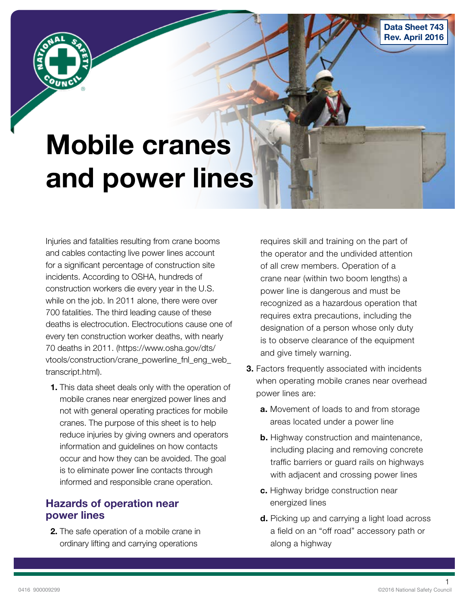Data Sheet 743 Rev. April 2016

# Mobile cranes and power lines

Injuries and fatalities resulting from crane booms and cables contacting live power lines account for a significant percentage of construction site incidents. According to OSHA, hundreds of construction workers die every year in the U.S. while on the job. In 2011 alone, there were over 700 fatalities. The third leading cause of these deaths is electrocution. Electrocutions cause one of every ten construction worker deaths, with nearly 70 deaths in 2011. (https://www.osha.gov/dts/ vtools/construction/crane\_powerline\_fnl\_eng\_web\_ transcript.html).

 1. This data sheet deals only with the operation of mobile cranes near energized power lines and not with general operating practices for mobile cranes. The purpose of this sheet is to help reduce injuries by giving owners and operators information and guidelines on how contacts occur and how they can be avoided. The goal is to eliminate power line contacts through informed and responsible crane operation.

## Hazards of operation near power lines

2. The safe operation of a mobile crane in ordinary lifting and carrying operations

requires skill and training on the part of the operator and the undivided attention of all crew members. Operation of a crane near (within two boom lengths) a power line is dangerous and must be recognized as a hazardous operation that requires extra precautions, including the designation of a person whose only duty is to observe clearance of the equipment and give timely warning.

- **3.** Factors frequently associated with incidents when operating mobile cranes near overhead power lines are:
	- a. Movement of loads to and from storage areas located under a power line
	- **b.** Highway construction and maintenance, including placing and removing concrete traffic barriers or guard rails on highways with adjacent and crossing power lines
	- c. Highway bridge construction near energized lines
	- d. Picking up and carrying a light load across a field on an "off road" accessory path or along a highway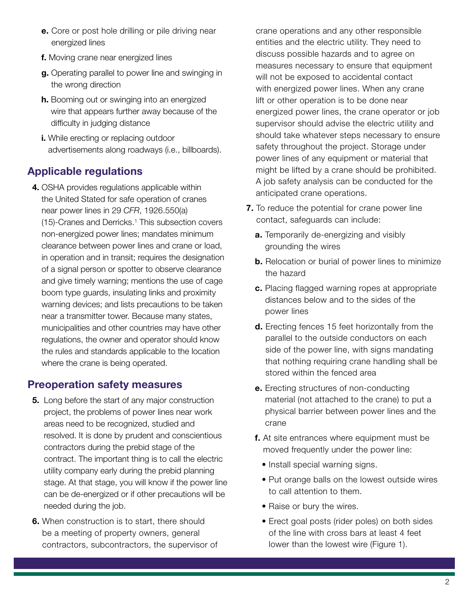- e. Core or post hole drilling or pile driving near energized lines
- f. Moving crane near energized lines
- g. Operating parallel to power line and swinging in the wrong direction
- **h.** Booming out or swinging into an energized wire that appears further away because of the difficulty in judging distance
- i. While erecting or replacing outdoor advertisements along roadways (i.e., billboards).

# Applicable regulations

 4. OSHA provides regulations applicable within the United Stated for safe operation of cranes near power lines in 29 *CFR*, 1926.550(a) (15)-Cranes and Derricks.<sup>1</sup> This subsection covers non-energized power lines; mandates minimum clearance between power lines and crane or load, in operation and in transit; requires the designation of a signal person or spotter to observe clearance and give timely warning; mentions the use of cage boom type guards, insulating links and proximity warning devices; and lists precautions to be taken near a transmitter tower. Because many states, municipalities and other countries may have other regulations, the owner and operator should know the rules and standards applicable to the location where the crane is being operated.

## Preoperation safety measures

- **5.** Long before the start of any major construction project, the problems of power lines near work areas need to be recognized, studied and resolved. It is done by prudent and conscientious contractors during the prebid stage of the contract. The important thing is to call the electric utility company early during the prebid planning stage. At that stage, you will know if the power line can be de-energized or if other precautions will be needed during the job.
- 6. When construction is to start, there should be a meeting of property owners, general contractors, subcontractors, the supervisor of

crane operations and any other responsible entities and the electric utility. They need to discuss possible hazards and to agree on measures necessary to ensure that equipment will not be exposed to accidental contact with energized power lines. When any crane lift or other operation is to be done near energized power lines, the crane operator or job supervisor should advise the electric utility and should take whatever steps necessary to ensure safety throughout the project. Storage under power lines of any equipment or material that might be lifted by a crane should be prohibited. A job safety analysis can be conducted for the anticipated crane operations.

- 7. To reduce the potential for crane power line contact, safeguards can include:
	- a. Temporarily de-energizing and visibly grounding the wires
	- **b.** Relocation or burial of power lines to minimize the hazard
	- c. Placing flagged warning ropes at appropriate distances below and to the sides of the power lines
	- d. Erecting fences 15 feet horizontally from the parallel to the outside conductors on each side of the power line, with signs mandating that nothing requiring crane handling shall be stored within the fenced area
	- e. Erecting structures of non-conducting material (not attached to the crane) to put a physical barrier between power lines and the crane
	- f. At site entrances where equipment must be moved frequently under the power line:
		- Install special warning signs.
		- Put orange balls on the lowest outside wires to call attention to them.
		- Raise or bury the wires.
		- Erect goal posts (rider poles) on both sides of the line with cross bars at least 4 feet lower than the lowest wire (Figure 1).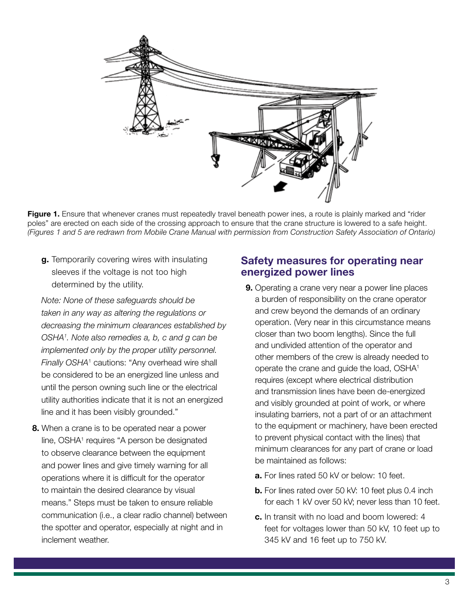

Figure 1. Ensure that whenever cranes must repeatedly travel beneath power ines, a route is plainly marked and "rider poles" are erected on each side of the crossing approach to ensure that the crane structure is lowered to a safe height. *(Figures 1 and 5 are redrawn from Mobile Crane Manual with permission from Construction Safety Association of Ontario)*

g. Temporarily covering wires with insulating sleeves if the voltage is not too high determined by the utility.

*Note: None of these safeguards should be taken in any way as altering the regulations or decreasing the minimum clearances established by OSHA1 . Note also remedies a, b, c and g can be implemented only by the proper utility personnel.*  Finally OSHA<sup>1</sup> cautions: "Any overhead wire shall be considered to be an energized line unless and until the person owning such line or the electrical utility authorities indicate that it is not an energized line and it has been visibly grounded."

 8. When a crane is to be operated near a power line, OSHA<sup>1</sup> requires "A person be designated to observe clearance between the equipment and power lines and give timely warning for all operations where it is difficult for the operator to maintain the desired clearance by visual means." Steps must be taken to ensure reliable communication (i.e., a clear radio channel) between the spotter and operator, especially at night and in inclement weather.

#### Safety measures for operating near energized power lines

- 9. Operating a crane very near a power line places a burden of responsibility on the crane operator and crew beyond the demands of an ordinary operation. (Very near in this circumstance means closer than two boom lengths). Since the full and undivided attention of the operator and other members of the crew is already needed to operate the crane and guide the load, OSHA1 requires (except where electrical distribution and transmission lines have been de-energized and visibly grounded at point of work, or where insulating barriers, not a part of or an attachment to the equipment or machinery, have been erected to prevent physical contact with the lines) that minimum clearances for any part of crane or load be maintained as follows:
	- a. For lines rated 50 kV or below: 10 feet.
	- **b.** For lines rated over 50 kV: 10 feet plus 0.4 inch for each 1 kV over 50 kV; never less than 10 feet.
	- c. In transit with no load and boom lowered: 4 feet for voltages lower than 50 kV, 10 feet up to 345 kV and 16 feet up to 750 kV.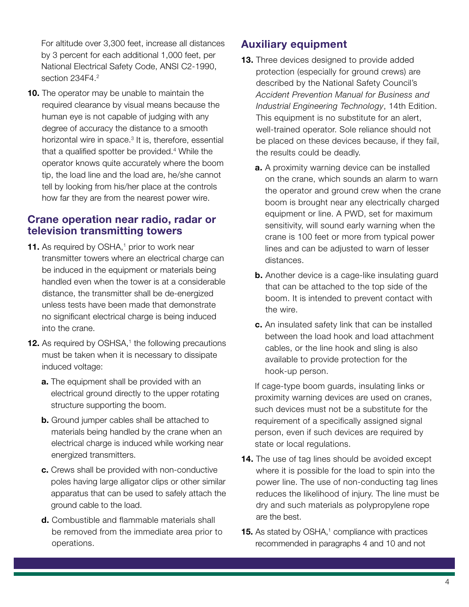For altitude over 3,300 feet, increase all distances by 3 percent for each additional 1,000 feet, per National Electrical Safety Code, ANSI C2-1990, section 234F4.2

**10.** The operator may be unable to maintain the required clearance by visual means because the human eye is not capable of judging with any degree of accuracy the distance to a smooth horizontal wire in space.<sup>3</sup> It is, therefore, essential that a qualified spotter be provided.<sup>4</sup> While the operator knows quite accurately where the boom tip, the load line and the load are, he/she cannot tell by looking from his/her place at the controls how far they are from the nearest power wire.

#### Crane operation near radio, radar or television transmitting towers

- **11.** As required by OSHA, $<sup>1</sup>$  prior to work near</sup> transmitter towers where an electrical charge can be induced in the equipment or materials being handled even when the tower is at a considerable distance, the transmitter shall be de-energized unless tests have been made that demonstrate no significant electrical charge is being induced into the crane.
- **12.** As required by OSHSA,<sup>1</sup> the following precautions must be taken when it is necessary to dissipate induced voltage:
	- a. The equipment shall be provided with an electrical ground directly to the upper rotating structure supporting the boom.
	- **b.** Ground jumper cables shall be attached to materials being handled by the crane when an electrical charge is induced while working near energized transmitters.
	- c. Crews shall be provided with non-conductive poles having large alligator clips or other similar apparatus that can be used to safely attach the ground cable to the load.
	- d. Combustible and flammable materials shall be removed from the immediate area prior to operations.

# Auxiliary equipment

- **13.** Three devices designed to provide added protection (especially for ground crews) are described by the National Safety Council's *Accident Prevention Manual for Business and Industrial Engineering Technology*, 14th Edition. This equipment is no substitute for an alert, well-trained operator. Sole reliance should not be placed on these devices because, if they fail, the results could be deadly.
	- **a.** A proximity warning device can be installed on the crane, which sounds an alarm to warn the operator and ground crew when the crane boom is brought near any electrically charged equipment or line. A PWD, set for maximum sensitivity, will sound early warning when the crane is 100 feet or more from typical power lines and can be adjusted to warn of lesser distances.
	- **b.** Another device is a cage-like insulating guard that can be attached to the top side of the boom. It is intended to prevent contact with the wire.
	- c. An insulated safety link that can be installed between the load hook and load attachment cables, or the line hook and sling is also available to provide protection for the hook-up person.

If cage-type boom guards, insulating links or proximity warning devices are used on cranes, such devices must not be a substitute for the requirement of a specifically assigned signal person, even if such devices are required by state or local regulations.

- **14.** The use of tag lines should be avoided except where it is possible for the load to spin into the power line. The use of non-conducting tag lines reduces the likelihood of injury. The line must be dry and such materials as polypropylene rope are the best.
- **15.** As stated by  $OSHA$ ,<sup> $1$ </sup> compliance with practices recommended in paragraphs 4 and 10 and not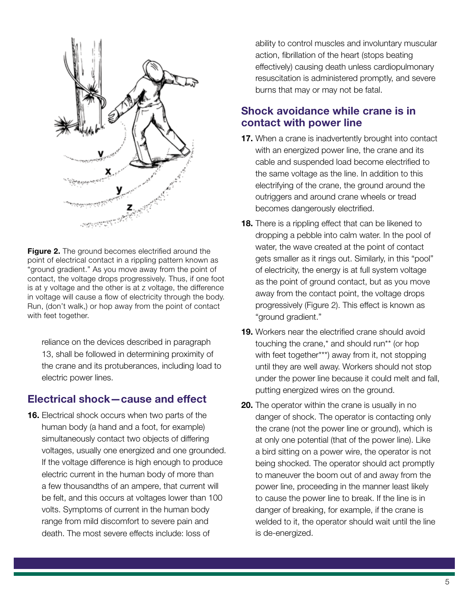

**Figure 2.** The ground becomes electrified around the point of electrical contact in a rippling pattern known as "ground gradient." As you move away from the point of contact, the voltage drops progressively. Thus, if one foot is at y voltage and the other is at z voltage, the difference in voltage will cause a flow of electricity through the body. Run, (don't walk,) or hop away from the point of contact with feet together.

reliance on the devices described in paragraph 13, shall be followed in determining proximity of the crane and its protuberances, including load to electric power lines.

## Electrical shock—cause and effect

**16.** Electrical shock occurs when two parts of the human body (a hand and a foot, for example) simultaneously contact two objects of differing voltages, usually one energized and one grounded. If the voltage difference is high enough to produce electric current in the human body of more than a few thousandths of an ampere, that current will be felt, and this occurs at voltages lower than 100 volts. Symptoms of current in the human body range from mild discomfort to severe pain and death. The most severe effects include: loss of

ability to control muscles and involuntary muscular action, fibrillation of the heart (stops beating effectively) causing death unless cardiopulmonary resuscitation is administered promptly, and severe burns that may or may not be fatal.

## Shock avoidance while crane is in contact with power line

- 17. When a crane is inadvertently brought into contact with an energized power line, the crane and its cable and suspended load become electrified to the same voltage as the line. In addition to this electrifying of the crane, the ground around the outriggers and around crane wheels or tread becomes dangerously electrified.
- 18. There is a rippling effect that can be likened to dropping a pebble into calm water. In the pool of water, the wave created at the point of contact gets smaller as it rings out. Similarly, in this "pool" of electricity, the energy is at full system voltage as the point of ground contact, but as you move away from the contact point, the voltage drops progressively (Figure 2). This effect is known as "ground gradient."
- **19.** Workers near the electrified crane should avoid touching the crane,\* and should run\*\* (or hop with feet together\*\*\*) away from it, not stopping until they are well away. Workers should not stop under the power line because it could melt and fall, putting energized wires on the ground.
- 20. The operator within the crane is usually in no danger of shock. The operator is contacting only the crane (not the power line or ground), which is at only one potential (that of the power line). Like a bird sitting on a power wire, the operator is not being shocked. The operator should act promptly to maneuver the boom out of and away from the power line, proceeding in the manner least likely to cause the power line to break. If the line is in danger of breaking, for example, if the crane is welded to it, the operator should wait until the line is de-energized.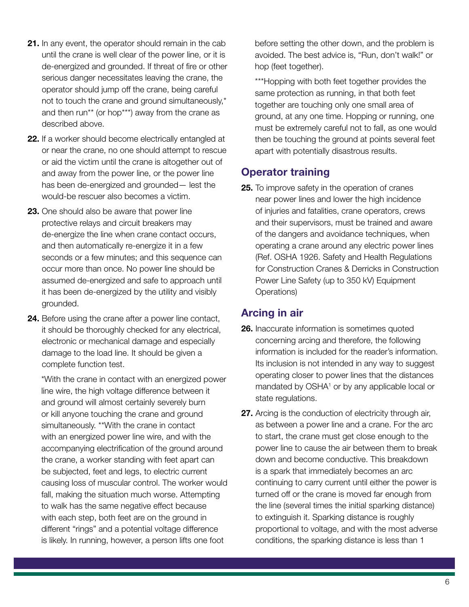- 21. In any event, the operator should remain in the cab until the crane is well clear of the power line, or it is de-energized and grounded. If threat of fire or other serious danger necessitates leaving the crane, the operator should jump off the crane, being careful not to touch the crane and ground simultaneously,\* and then run\*\* (or hop\*\*\*) away from the crane as described above.
- 22. If a worker should become electrically entangled at or near the crane, no one should attempt to rescue or aid the victim until the crane is altogether out of and away from the power line, or the power line has been de-energized and grounded— lest the would-be rescuer also becomes a victim.
- 23. One should also be aware that power line protective relays and circuit breakers may de-energize the line when crane contact occurs, and then automatically re-energize it in a few seconds or a few minutes; and this sequence can occur more than once. No power line should be assumed de-energized and safe to approach until it has been de-energized by the utility and visibly grounded.
- 24. Before using the crane after a power line contact, it should be thoroughly checked for any electrical, electronic or mechanical damage and especially damage to the load line. It should be given a complete function test.

\*With the crane in contact with an energized power line wire, the high voltage difference between it and ground will almost certainly severely burn or kill anyone touching the crane and ground simultaneously. \*\*With the crane in contact with an energized power line wire, and with the accompanying electrification of the ground around the crane, a worker standing with feet apart can be subjected, feet and legs, to electric current causing loss of muscular control. The worker would fall, making the situation much worse. Attempting to walk has the same negative effect because with each step, both feet are on the ground in different "rings" and a potential voltage difference is likely. In running, however, a person lifts one foot

before setting the other down, and the problem is avoided. The best advice is, "Run, don't walk!" or hop (feet together).

\*\*\*Hopping with both feet together provides the same protection as running, in that both feet together are touching only one small area of ground, at any one time. Hopping or running, one must be extremely careful not to fall, as one would then be touching the ground at points several feet apart with potentially disastrous results.

## Operator training

**25.** To improve safety in the operation of cranes near power lines and lower the high incidence of injuries and fatalities, crane operators, crews and their supervisors, must be trained and aware of the dangers and avoidance techniques, when operating a crane around any electric power lines (Ref. OSHA 1926. Safety and Health Regulations for Construction Cranes & Derricks in Construction Power Line Safety (up to 350 kV) Equipment Operations)

## Arcing in air

- 26. Inaccurate information is sometimes quoted concerning arcing and therefore, the following information is included for the reader's information. Its inclusion is not intended in any way to suggest operating closer to power lines that the distances mandated by OSHA<sup>1</sup> or by any applicable local or state regulations.
- 27. Arcing is the conduction of electricity through air, as between a power line and a crane. For the arc to start, the crane must get close enough to the power line to cause the air between them to break down and become conductive. This breakdown is a spark that immediately becomes an arc continuing to carry current until either the power is turned off or the crane is moved far enough from the line (several times the initial sparking distance) to extinguish it. Sparking distance is roughly proportional to voltage, and with the most adverse conditions, the sparking distance is less than 1